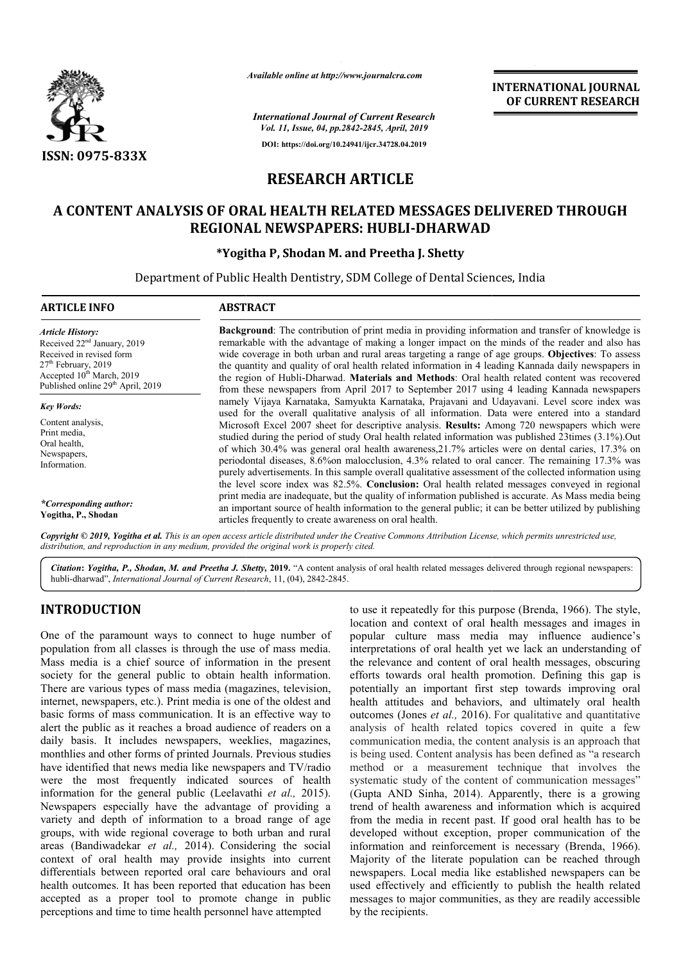

*Available online at http://www.journalcra.com*

**INTERNATIONAL JOURNAL OF CURRENT RESEARCH**

*International Journal of Current Research Vol. 11, Issue, 04, pp.2842-2845, April, 2019* **DOI: https://doi.org/10.24941/ijcr.34728.04.2019**

# **RESEARCH ARTICLE**

## **A CONTENT ANALYSIS OF ORAL HEALTH RELATED MESSAGES DELIVERED THROUGH RELATED MESSAGES REGIONAL NEWSPAPERS: HUBLI HUBLI-DHARWAD**

### **\*Yogitha P, Shodan M. and Preetha J. Shetty**

Department of Public Health Dentistry, SDM College of Dental Sciences, India Department

| <b>ARTICLE INFO</b>                                                                                                                                                                                               | <b>ABSTRACT</b>                                                                                                                                                                                                                                                                                                                                                                                                                                                                                                                                                                                                                                                                                                                                                                                                                                                                                                                                                                                                                                                                                                                                                                                                                                                                                                                                        |
|-------------------------------------------------------------------------------------------------------------------------------------------------------------------------------------------------------------------|--------------------------------------------------------------------------------------------------------------------------------------------------------------------------------------------------------------------------------------------------------------------------------------------------------------------------------------------------------------------------------------------------------------------------------------------------------------------------------------------------------------------------------------------------------------------------------------------------------------------------------------------------------------------------------------------------------------------------------------------------------------------------------------------------------------------------------------------------------------------------------------------------------------------------------------------------------------------------------------------------------------------------------------------------------------------------------------------------------------------------------------------------------------------------------------------------------------------------------------------------------------------------------------------------------------------------------------------------------|
| <b>Article History:</b><br>Received 22 <sup>nd</sup> January, 2019<br>Received in revised form<br>$27th$ February, 2019<br>Accepted 10 <sup>th</sup> March, 2019<br>Published online 29 <sup>th</sup> April, 2019 | <b>Background:</b> The contribution of print media in providing information and transfer of knowledge is<br>remarkable with the advantage of making a longer impact on the minds of the reader and also has<br>wide coverage in both urban and rural areas targeting a range of age groups. Objectives: To assess<br>the quantity and quality of oral health related information in 4 leading Kannada daily newspapers in<br>the region of Hubli-Dharwad. Materials and Methods: Oral health related content was recovered<br>from these newspapers from April 2017 to September 2017 using 4 leading Kannada newspapers<br>namely Vijaya Karnataka, Samyukta Karnataka, Prajavani and Udayavani. Level score index was<br>used for the overall qualitative analysis of all information. Data were entered into a standard<br>Microsoft Excel 2007 sheet for descriptive analysis. Results: Among 720 newspapers which were<br>studied during the period of study Oral health related information was published 23times (3.1%). Out<br>of which 30.4% was general oral health awareness, 21.7% articles were on dental caries, 17.3% on<br>periodontal diseases, 8.6% on malocclusion, 4.3% related to oral cancer. The remaining 17.3% was<br>purely advertisements. In this sample overall qualitative assessment of the collected information using |
| <b>Key Words:</b><br>Content analysis,<br>Print media,<br>Oral health,<br>Newspapers,<br>Information.                                                                                                             |                                                                                                                                                                                                                                                                                                                                                                                                                                                                                                                                                                                                                                                                                                                                                                                                                                                                                                                                                                                                                                                                                                                                                                                                                                                                                                                                                        |
| *Corresponding author:<br>Yogitha, P., Shodan                                                                                                                                                                     | the level score index was 82.5%. Conclusion: Oral health related messages conveyed in regional<br>print media are inadequate, but the quality of information published is accurate. As Mass media being<br>an important source of health information to the general public; it can be better utilized by publishing<br>articles frequently to create awareness on oral health.                                                                                                                                                                                                                                                                                                                                                                                                                                                                                                                                                                                                                                                                                                                                                                                                                                                                                                                                                                         |

Copyright © 2019, Yogitha et al. This is an open access article distributed under the Creative Commons Attribution License, which permits unrestricted use, *distribution, and reproduction in any medium, provided the original work is properly cited.*

Citation: Yogitha, P., Shodan, M. and Preetha J. Shetty, 2019. "A content analysis of oral health related messages delivered through regional newspapers: hubli-dharwad", *International Journal of Current Research* , 11, (04), 2842-2845.

## **INTRODUCTION**

One of the paramount ways to connect to huge number of population from all classes is through the use of mass media. Mass media is a chief source of information in the present society for the general public to obtain health information. There are various types of mass media (magazines, television, internet, newspapers, etc.). Print media is one of the oldest and basic forms of mass communication. It is an effective way to alert the public as it reaches a broad audience of readers on a daily basis. It includes newspapers, weeklies, magazines, There are various types of mass media (magazines, television, internet, newspapers, etc.). Print media is one of the oldest and basic forms of mass communication. It is an effective way to alert the public as it reaches a have identified that news media like newspapers and TV/radio were the most frequently indicated sources of health information for the general public (Leelavathi et al., 2015). Newspapers especially have the advantage of providing a variety and depth of information to a broad range of age groups, with wide regional coverage to both urban and rural areas (Bandiwadekar *et al.,* 2014). Considering the social context of oral health may provide insights into current differentials between reported oral care behaviours and oral health outcomes. It has been reported that education has been accepted as a proper tool to promote change in public perceptions and time to time health personnel have attempted

to use it repeatedly for this purpose (Brenda, 1966). The style, location and context of oral health messages and images in popular culture mass media may influence audience's interpretations of oral health yet we lack an understanding of the relevance and content of oral health messages, obscuring efforts towards oral health promotion. Defining this gap is potentially an important first step towards improving oral health attitudes and behaviors, and ultimately oral health outcomes (Jones *et al.,* 2016). analysis of health related topics covered in quite a few communication media, the content analysis is an approach that is being used. Content analysis has been defined as "a research method or a measurement technique that involves the analysis of health related topics covered in quite a few communication media, the content analysis is an approach that is being used. Content analysis has been defined as "a research method or a measurement technique that (Gupta AND Sinha, 2014). Apparently, there is a growing trend of health awareness and information which is acquired trend of health awareness and information which is acquired<br>from the media in recent past. If good oral health has to be developed without exception, proper communication of the developed without exception, proper communication of the information and reinforcement is necessary (Brenda, 1966). Majority of the literate population can be reached through newspapers. Local media like established newspapers can be used effectively and efficiently to publish the health related messages to major communities, as they are readily accessible by the recipients. ntent of oral health messages, obscuring<br>health promotion. Defining this gap is<br>tant first step towards improving oral<br>behaviors, and ultimately oral health<br> $\mu$ , 2016). For qualitative and quantitative **INTERNATIONAL JOURNAL TIONAL JOURNAL FORMAL JOURNAL FORMAL TO COURRENT RESEARCH CONTRIBUTE TO THE DISTURBATION CONTRIBUTE TO THE CONTRIBUTE CONTRIBUTE TO THE CONTRIBUTE CONTRIBUTE CONTRIBUTE CONTRIBUTE CONTRIBUTE ON THE**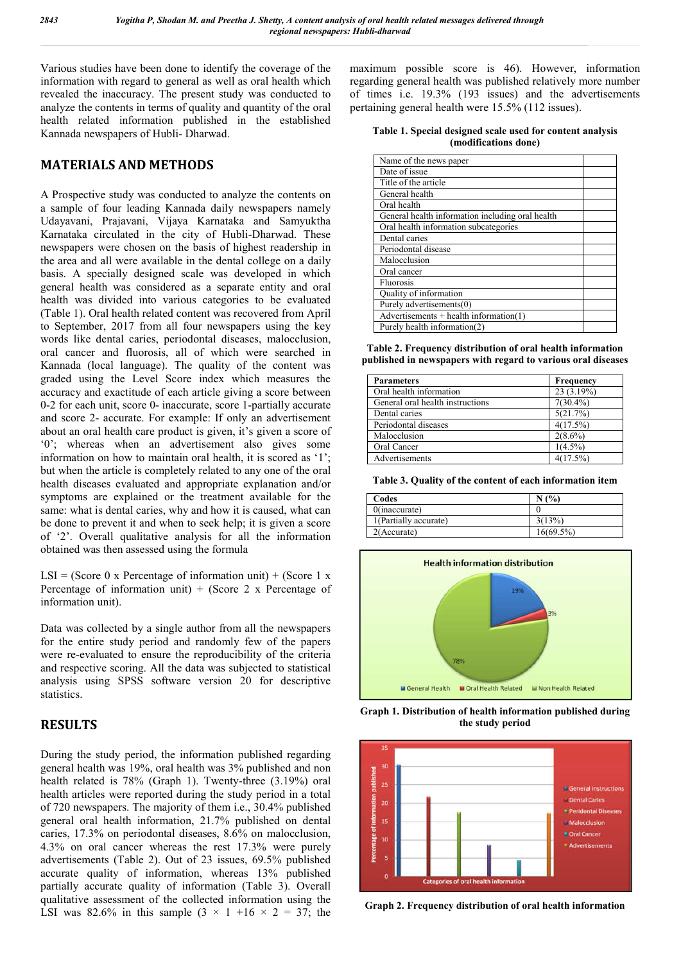Various studies have been done to identify the coverage of the information with regard to general as well as oral health which revealed the inaccuracy. The present study was conducted to analyze the contents in terms of quality and quantity of the oral health related information published in the established Kannada newspapers of Hubli- Dharwad.

## **MATERIALS AND METHODS**

A Prospective study was conducted to analyze the contents on a sample of four leading Kannada daily newspapers namely Udayavani, Prajavani, Vijaya Karnataka and Samyuktha Karnataka circulated in the city of Hubli-Dharwad. These newspapers were chosen on the basis of highest readership in the area and all were available in the dental college on a daily basis. A specially designed scale was developed in which general health was considered as a separate entity and oral health was divided into various categories to be evaluated (Table 1). Oral health related content was recovered from April to September, 2017 from all four newspapers using the key words like dental caries, periodontal diseases, malocclusion, oral cancer and fluorosis, all of which were searched in Kannada (local language). The quality of the content was graded using the Level Score index which measures the accuracy and exactitude of each article giving a score between 0-2 for each unit, score 0- inaccurate, score 1-partially accurate and score 2- accurate. For example: If only an advertisement about an oral health care product is given, it's given a score of '0'; whereas when an advertisement also gives some information on how to maintain oral health, it is scored as '1'; but when the article is completely related to any one of the oral health diseases evaluated and appropriate explanation and/or symptoms are explained or the treatment available for the same: what is dental caries, why and how it is caused, what can be done to prevent it and when to seek help; it is given a score of '2'. Overall qualitative analysis for all the information obtained was then assessed using the formula

LSI = (Score 0 x Percentage of information unit) + (Score 1 x Percentage of information unit)  $+$  (Score 2 x Percentage of information unit).

Data was collected by a single author from all the newspapers for the entire study period and randomly few of the papers were re-evaluated to ensure the reproducibility of the criteria and respective scoring. All the data was subjected to statistical analysis using SPSS software version 20 for descriptive statistics.

## **RESULTS**

During the study period, the information published regarding general health was 19%, oral health was 3% published and non health related is 78% (Graph 1). Twenty-three  $(3.19\%)$  oral health articles were reported during the study period in a total of 720 newspapers. The majority of them i.e., 30.4% published general oral health information, 21.7% published on dental caries, 17.3% on periodontal diseases, 8.6% on malocclusion, 4.3% on oral cancer whereas the rest 17.3% were purely advertisements (Table 2). Out of 23 issues, 69.5% published accurate quality of information, whereas 13% published partially accurate quality of information (Table 3). Overall qualitative assessment of the collected information using the LSI was 82.6% in this sample  $(3 \times 1 +16 \times 2 = 37)$ ; the maximum possible score is 46). However, information regarding general health was published relatively more number of times i.e. 19.3% (193 issues) and the advertisements pertaining general health were 15.5% (112 issues).

**Table 1. Special designed scale used for content analysis (modifications done)**

| Name of the news paper                           |  |
|--------------------------------------------------|--|
| Date of issue                                    |  |
| Title of the article                             |  |
| General health                                   |  |
| Oral health                                      |  |
| General health information including oral health |  |
| Oral health information subcategories            |  |
| Dental caries                                    |  |
| Periodontal disease                              |  |
| Malocclusion                                     |  |
| Oral cancer                                      |  |
| Fluorosis                                        |  |
| Quality of information                           |  |
| Purely advertisements(0)                         |  |
| $Advertisements + health information(1)$         |  |
| Purely health information(2)                     |  |

**Table 2. Frequency distribution of oral health information published in newspapers with regard to various oral diseases**

| <b>Parameters</b>                | Frequency   |  |
|----------------------------------|-------------|--|
| Oral health information          | 23 (3.19%)  |  |
| General oral health instructions | $7(30.4\%)$ |  |
| Dental caries                    | 5(21.7%)    |  |
| Periodontal diseases             | 4(17.5%)    |  |
| Malocclusion                     | $2(8.6\%)$  |  |
| Oral Cancer                      | $1(4.5\%)$  |  |
| Advertisements                   | 4(17.5%)    |  |

**Table 3. Quality of the content of each information item**

| Codes                 | $(°_0)$      |
|-----------------------|--------------|
| $0$ (inaccurate)      |              |
| 1(Partially accurate) | 3(13%)       |
| 2(Accurate)           | $16(69.5\%)$ |



**Graph 1. Distribution of health information published during the study period**



**Graph 2. Frequency distribution of oral health information**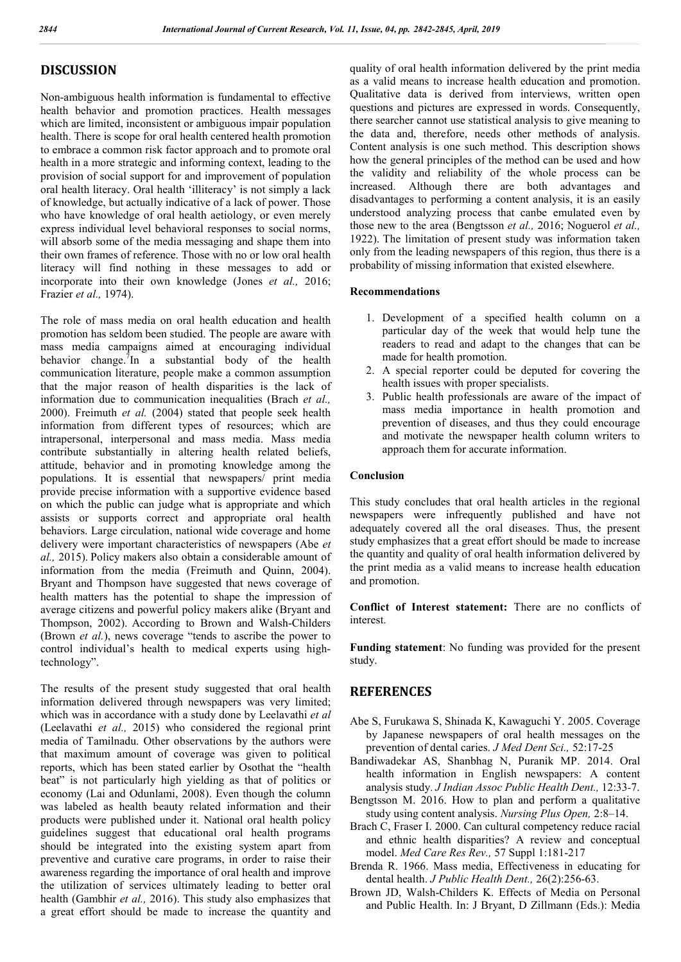### **DISCUSSION**

Non-ambiguous health information is fundamental to effective health behavior and promotion practices. Health messages which are limited, inconsistent or ambiguous impair population health. There is scope for oral health centered health promotion to embrace a common risk factor approach and to promote oral health in a more strategic and informing context, leading to the provision of social support for and improvement of population oral health literacy. Oral health 'illiteracy' is not simply a lack of knowledge, but actually indicative of a lack of power. Those who have knowledge of oral health aetiology, or even merely express individual level behavioral responses to social norms, will absorb some of the media messaging and shape them into their own frames of reference. Those with no or low oral health literacy will find nothing in these messages to add or incorporate into their own knowledge (Jones *et al.,* 2016; Frazier *et al.,* 1974).

The role of mass media on oral health education and health promotion has seldom been studied. The people are aware with mass media campaigns aimed at encouraging individual behavior change.<sup>7</sup>In a substantial body of the health communication literature, people make a common assumption that the major reason of health disparities is the lack of information due to communication inequalities (Brach *et al.,*  2000). Freimuth *et al.* (2004) stated that people seek health information from different types of resources; which are intrapersonal, interpersonal and mass media. Mass media contribute substantially in altering health related beliefs, attitude, behavior and in promoting knowledge among the populations. It is essential that newspapers/ print media provide precise information with a supportive evidence based on which the public can judge what is appropriate and which assists or supports correct and appropriate oral health behaviors. Large circulation, national wide coverage and home delivery were important characteristics of newspapers (Abe *et al.,* 2015). Policy makers also obtain a considerable amount of information from the media (Freimuth and Quinn, 2004). Bryant and Thompson have suggested that news coverage of health matters has the potential to shape the impression of average citizens and powerful policy makers alike (Bryant and Thompson, 2002). According to Brown and Walsh-Childers (Brown *et al.*), news coverage "tends to ascribe the power to control individual's health to medical experts using hightechnology".

The results of the present study suggested that oral health information delivered through newspapers was very limited; which was in accordance with a study done by Leelavathi *et al* (Leelavathi *et al.,* 2015) who considered the regional print media of Tamilnadu. Other observations by the authors were that maximum amount of coverage was given to political reports, which has been stated earlier by Osothat the "health beat" is not particularly high yielding as that of politics or economy (Lai and Odunlami, 2008). Even though the column was labeled as health beauty related information and their products were published under it. National oral health policy guidelines suggest that educational oral health programs should be integrated into the existing system apart from preventive and curative care programs, in order to raise their awareness regarding the importance of oral health and improve the utilization of services ultimately leading to better oral health (Gambhir *et al.,* 2016). This study also emphasizes that a great effort should be made to increase the quantity and

quality of oral health information delivered by the print media as a valid means to increase health education and promotion. Qualitative data is derived from interviews, written open questions and pictures are expressed in words. Consequently, there searcher cannot use statistical analysis to give meaning to the data and, therefore, needs other methods of analysis. Content analysis is one such method. This description shows how the general principles of the method can be used and how the validity and reliability of the whole process can be increased. Although there are both advantages and disadvantages to performing a content analysis, it is an easily understood analyzing process that canbe emulated even by those new to the area (Bengtsson *et al.,* 2016; Noguerol *et al.,*  1922). The limitation of present study was information taken only from the leading newspapers of this region, thus there is a probability of missing information that existed elsewhere.

#### **Recommendations**

- 1. Development of a specified health column on a particular day of the week that would help tune the readers to read and adapt to the changes that can be made for health promotion.
- 2. A special reporter could be deputed for covering the health issues with proper specialists.
- 3. Public health professionals are aware of the impact of mass media importance in health promotion and prevention of diseases, and thus they could encourage and motivate the newspaper health column writers to approach them for accurate information.

#### **Conclusion**

This study concludes that oral health articles in the regional newspapers were infrequently published and have not adequately covered all the oral diseases. Thus, the present study emphasizes that a great effort should be made to increase the quantity and quality of oral health information delivered by the print media as a valid means to increase health education and promotion.

**Conflict of Interest statement:** There are no conflicts of interest.

**Funding statement**: No funding was provided for the present study.

#### **REFERENCES**

- Abe S, Furukawa S, Shinada K, Kawaguchi Y. 2005. Coverage by Japanese newspapers of oral health messages on the prevention of dental caries. *J Med Dent Sci.,* 52:17-25
- Bandiwadekar AS, Shanbhag N, Puranik MP. 2014. Oral health information in English newspapers: A content analysis study. *J Indian Assoc Public Health Dent.,* 12:33-7.
- Bengtsson M. 2016. How to plan and perform a qualitative study using content analysis. *Nursing Plus Open,* 2:8–14.
- Brach C, Fraser I. 2000. Can cultural competency reduce racial and ethnic health disparities? A review and conceptual model. *Med Care Res Rev.,* 57 Suppl 1:181-217
- Brenda R. 1966. Mass media, Effectiveness in educating for dental health. *J Public Health Dent.,* 26(2):256-63.
- Brown JD, Walsh-Childers K. Effects of Media on Personal and Public Health. In: J Bryant, D Zillmann (Eds.): Media